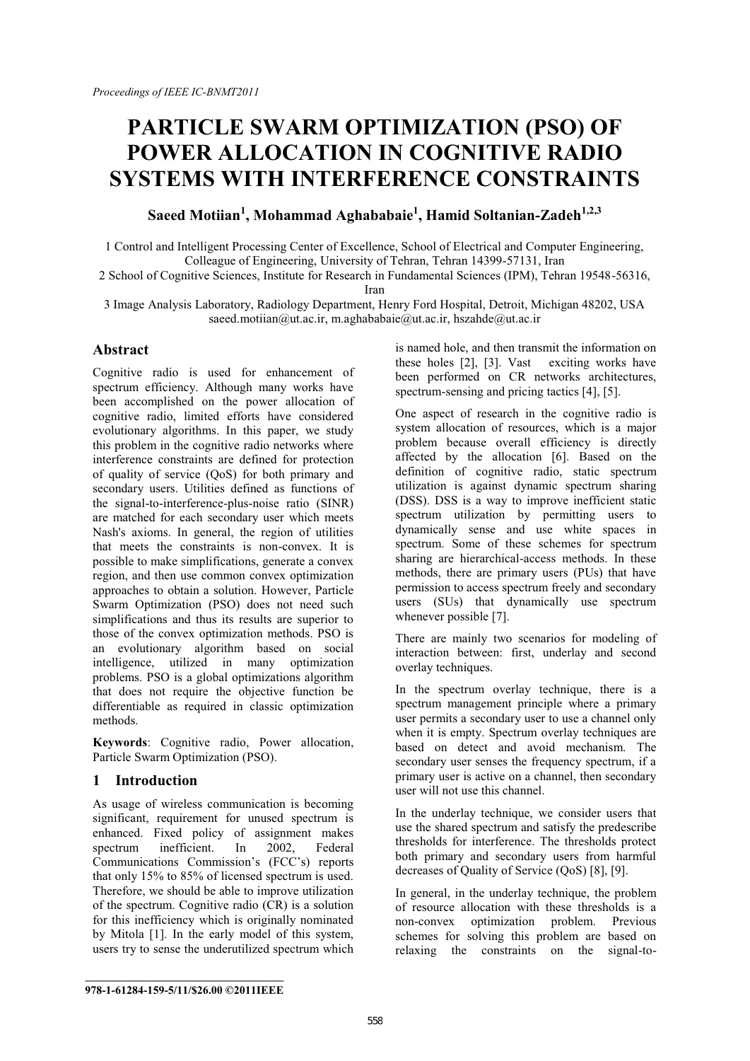# **PARTICLE SWARM OPTIMIZATION (PSO) OF POWER ALLOCATION IN COGNITIVE RADIO SYSTEMS WITH INTERFERENCE CONSTRAINTS**

**Saeed Motiian<sup>1</sup> , Mohammad Aghababaie1 , Hamid Soltanian-Zadeh1,2,3**

1 Control and Intelligent Processing Center of Excellence, School of Electrical and Computer Engineering, Colleague of Engineering, University of Tehran, Tehran 14399-57131, Iran

2 School of Cognitive Sciences, Institute for Research in Fundamental Sciences (IPM), Tehran 19548-56316, Iran

3 Image Analysis Laboratory, Radiology Department, Henry Ford Hospital, Detroit, Michigan 48202, USA saeed.motiian@ut.ac.ir, m.aghababaie@ut.ac.ir, hszahde@ut.ac.ir

## **Abstract**

Cognitive radio is used for enhancement of spectrum efficiency. Although many works have been accomplished on the power allocation of cognitive radio, limited efforts have considered evolutionary algorithms. In this paper, we study this problem in the cognitive radio networks where interference constraints are defined for protection of quality of service (QoS) for both primary and secondary users. Utilities defined as functions of the signal-to-interference-plus-noise ratio (SINR) are matched for each secondary user which meets Nash's axioms. In general, the region of utilities that meets the constraints is non-convex. It is possible to make simplifications, generate a convex region, and then use common convex optimization approaches to obtain a solution. However, Particle Swarm Optimization (PSO) does not need such simplifications and thus its results are superior to those of the convex optimization methods. PSO is an evolutionary algorithm based on social intelligence, utilized in many optimization problems. PSO is a global optimizations algorithm that does not require the objective function be differentiable as required in classic optimization methods.

**Keywords**: Cognitive radio, Power allocation, Particle Swarm Optimization (PSO).

## **1 Introduction**

As usage of wireless communication is becoming significant, requirement for unused spectrum is enhanced. Fixed policy of assignment makes<br>spectrum inefficient. In 2002. Federal  $spectrum$  inefficient. In Communications Commission's (FCC's) reports that only 15% to 85% of licensed spectrum is used. Therefore, we should be able to improve utilization of the spectrum. Cognitive radio (CR) is a solution for this inefficiency which is originally nominated by Mitola [1]. In the early model of this system, users try to sense the underutilized spectrum which

is named hole, and then transmit the information on these holes [2], [3]. Vast exciting works have been performed on CR networks architectures, spectrum-sensing and pricing tactics [4], [5].

One aspect of research in the cognitive radio is system allocation of resources, which is a major problem because overall efficiency is directly affected by the allocation [6]. Based on the definition of cognitive radio, static spectrum utilization is against dynamic spectrum sharing (DSS). DSS is a way to improve inefficient static spectrum utilization by permitting users to dynamically sense and use white spaces in spectrum. Some of these schemes for spectrum sharing are hierarchical-access methods. In these methods, there are primary users (PUs) that have permission to access spectrum freely and secondary users (SUs) that dynamically use spectrum whenever possible [7].

There are mainly two scenarios for modeling of interaction between: first, underlay and second overlay techniques.

In the spectrum overlay technique, there is a spectrum management principle where a primary user permits a secondary user to use a channel only when it is empty. Spectrum overlay techniques are based on detect and avoid mechanism. The secondary user senses the frequency spectrum, if a primary user is active on a channel, then secondary user will not use this channel.

In the underlay technique, we consider users that use the shared spectrum and satisfy the predescribe thresholds for interference. The thresholds protect both primary and secondary users from harmful decreases of Quality of Service (QoS) [8], [9].

In general, in the underlay technique, the problem of resource allocation with these thresholds is a non-convex optimization problem. Previous schemes for solving this problem are based on relaxing the constraints on the signal-to-

**\_\_\_\_\_\_\_\_\_\_\_\_\_\_\_\_\_\_\_\_\_\_\_\_\_\_\_\_\_\_\_\_\_\_\_ 978-1-61284-159-5/11/\$26.00 ©2011IEEE**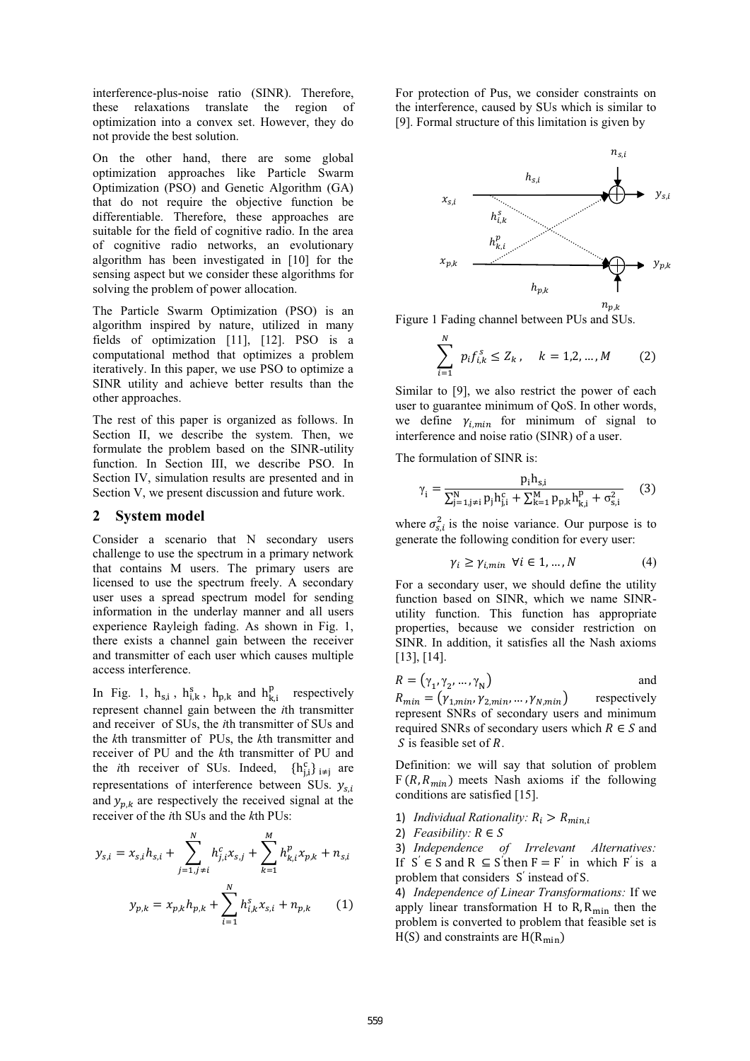interference-plus-noise ratio (SINR). Therefore, these relaxations translate the region of optimization into a convex set. However, they do not provide the best solution.

On the other hand, there are some global optimization approaches like Particle Swarm Optimization (PSO) and Genetic Algorithm (GA) that do not require the objective function be differentiable. Therefore, these approaches are suitable for the field of cognitive radio. In the area of cognitive radio networks, an evolutionary algorithm has been investigated in [10] for the sensing aspect but we consider these algorithms for solving the problem of power allocation.

The Particle Swarm Optimization (PSO) is an algorithm inspired by nature, utilized in many fields of optimization [11], [12]. PSO is a computational method that optimizes a problem iteratively. In this paper, we use PSO to optimize a SINR utility and achieve better results than the other approaches.

The rest of this paper is organized as follows. In Section II, we describe the system. Then, we formulate the problem based on the SINR-utility function. In Section III, we describe PSO. In Section IV, simulation results are presented and in Section V, we present discussion and future work.

### **2 System model**

Consider a scenario that N secondary users challenge to use the spectrum in a primary network that contains M users. The primary users are licensed to use the spectrum freely. A secondary user uses a spread spectrum model for sending information in the underlay manner and all users experience Rayleigh fading. As shown in Fig. 1, there exists a channel gain between the receiver and transmitter of each user which causes multiple access interference.

In Fig. 1,  $h_{s,i}$ ,  $h_{i,k}^s$ ,  $h_{p,k}$  and  $h_{k,i}^p$  respectively represent channel gain between the *i*th transmitter and receiver of SUs, the *i*th transmitter of SUs and the *k*th transmitter of PUs, the *k*th transmitter and receiver of PU and the *k*th transmitter of PU and the *i*th receiver of SUs. Indeed,  ${h_{i,i}^c}_{i \neq i}$  are representations of interference between SUs.  $y_{s,i}$ and  $y_{p,k}$  are respectively the received signal at the receiver of the *i*th SUs and the *k*th PUs:

$$
y_{s,i} = x_{s,i}h_{s,i} + \sum_{j=1,j\neq i}^{N} h_{j,i}^{c}x_{s,j} + \sum_{k=1}^{M} h_{k,i}^{p}x_{p,k} + n_{s,i}
$$

$$
y_{p,k} = x_{p,k}h_{p,k} + \sum_{i=1}^{N} h_{i,k}^{s}x_{s,i} + n_{p,k}
$$
(1)

For protection of Pus, we consider constraints on the interference, caused by SUs which is similar to [9]. Formal structure of this limitation is given by



Figure 1 Fading channel between PUs and SUs.

$$
\sum_{i=1}^{N} p_i f_{i,k}^s \le Z_k, \quad k = 1, 2, ..., M \qquad (2)
$$

Similar to [9], we also restrict the power of each user to guarantee minimum of QoS. In other words, we define  $\gamma_{i, min}$  for minimum of signal to interference and noise ratio (SINR) of a user.

The formulation of SINR is:

$$
\gamma_{i} = \frac{p_{i}h_{s,i}}{\sum_{j=1, j\neq i}^{N} p_{j}h_{j,i}^{c} + \sum_{k=1}^{M} p_{p,k}h_{k,i}^{p} + \sigma_{s,i}^{2}}
$$
 (3)

where  $\sigma_{s,i}^2$  is the noise variance. Our purpose is to generate the following condition for every user:

$$
\gamma_i \ge \gamma_{i,min} \ \forall i \in 1, \dots, N \tag{4}
$$

For a secondary user, we should define the utility function based on SINR, which we name SINRutility function. This function has appropriate properties, because we consider restriction on SINR. In addition, it satisfies all the Nash axioms [13], [14].

$$
R = (\gamma_1, \gamma_2, \dots, \gamma_N)
$$
 and

 $R_{min} = (\gamma_{1,min}, \gamma_{2,min}, \dots, \gamma_{N,min})$  respectively represent SNRs of secondary users and minimum required SNRs of secondary users which  $R \in S$  and  $S$  is feasible set of  $R$ .

Definition: we will say that solution of problem  $F(R, R_{min})$  meets Nash axioms if the following conditions are satisfied [15].

- 1) *Individual Rationality:*  $R_i > R_{min,i}$
- 2)  $Feasibility: R \in S$

3) *Independence of Irrelevant Alternatives:*  If  $S' \in S$  and  $R \subseteq S'$  then  $F = F'$  in which  $F'$  is a problem that considers S′ instead of S.

4) *Independence of Linear Transformations:* If we apply linear transformation H to R,  $R_{\text{min}}$  then the problem is converted to problem that feasible set is  $H(S)$  and constraints are  $H(R_{min})$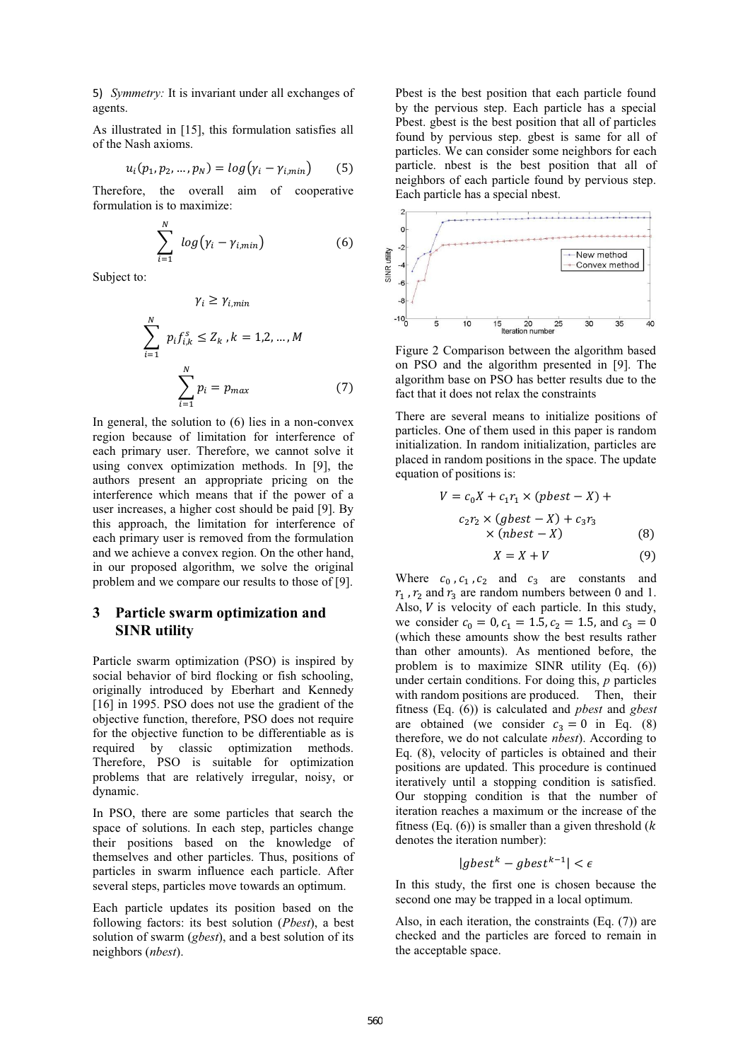5) *Symmetry:* It is invariant under all exchanges of agents.

As illustrated in [15], this formulation satisfies all of the Nash axioms.

$$
u_i(p_1, p_2, \dots, p_N) = \log(\gamma_i - \gamma_{i, \min}) \tag{5}
$$

Therefore, the overall aim of cooperative formulation is to maximize:

$$
\sum_{i=1}^{N} log(\gamma_i - \gamma_{i,min})
$$
 (6)

Subject to:

$$
\gamma_i \ge \gamma_{i,min}
$$
\n
$$
\sum_{i=1}^{N} p_i f_{i,k}^s \le Z_k, k = 1, 2, ..., M
$$
\n
$$
\sum_{i=1}^{N} p_i = p_{max} \tag{7}
$$

In general, the solution to (6) lies in a non-convex region because of limitation for interference of each primary user. Therefore, we cannot solve it using convex optimization methods. In [9], the authors present an appropriate pricing on the interference which means that if the power of a user increases, a higher cost should be paid [9]. By this approach, the limitation for interference of each primary user is removed from the formulation and we achieve a convex region. On the other hand, in our proposed algorithm, we solve the original problem and we compare our results to those of [9].

## **3 Particle swarm optimization and SINR utility**

Particle swarm optimization (PSO) is inspired by social behavior of bird flocking or fish schooling, originally introduced by Eberhart and Kennedy [16] in 1995. PSO does not use the gradient of the objective function, therefore, PSO does not require for the objective function to be differentiable as is required by classic optimization methods. Therefore, PSO is suitable for optimization problems that are relatively irregular, noisy, or dynamic.

In PSO, there are some particles that search the space of solutions. In each step, particles change their positions based on the knowledge of themselves and other particles. Thus, positions of particles in swarm influence each particle. After several steps, particles move towards an optimum.

Each particle updates its position based on the following factors: its best solution (*Pbest*), a best solution of swarm (*gbest*), and a best solution of its neighbors (*nbest*).

Pbest is the best position that each particle found by the pervious step. Each particle has a special Pbest. gbest is the best position that all of particles found by pervious step. gbest is same for all of particles. We can consider some neighbors for each particle. nbest is the best position that all of neighbors of each particle found by pervious step. Each particle has a special nbest.



Figure 2 Comparison between the algorithm based on PSO and the algorithm presented in [9]. The algorithm base on PSO has better results due to the fact that it does not relax the constraints

There are several means to initialize positions of particles. One of them used in this paper is random initialization. In random initialization, particles are placed in random positions in the space. The update equation of positions is:

$$
V = c_0 X + c_1 r_1 \times (pbest - X) +
$$
  
\n
$$
c_2 r_2 \times (gbest - X) + c_3 r_3
$$
  
\n
$$
\times (nbest - X)
$$
 (8)

$$
X = X + V \tag{9}
$$

Where  $c_0$ ,  $c_1$ ,  $c_2$  and  $c_3$  are constants and  $r_1$ ,  $r_2$  and  $r_3$  are random numbers between 0 and 1. Also,  $V$  is velocity of each particle. In this study, we consider  $c_0 = 0$ ,  $c_1 = 1.5$ ,  $c_2 = 1.5$ , and  $c_3 = 0$ (which these amounts show the best results rather than other amounts). As mentioned before, the problem is to maximize SINR utility (Eq. (6)) under certain conditions. For doing this, *p* particles with random positions are produced. Then, their fitness (Eq. (6)) is calculated and *pbest* and *gbest* are obtained (we consider  $c_3 = 0$  in Eq. (8) therefore, we do not calculate *nbest*). According to Eq. (8), velocity of particles is obtained and their positions are updated. This procedure is continued iteratively until a stopping condition is satisfied. Our stopping condition is that the number of iteration reaches a maximum or the increase of the fitness (Eq.  $(6)$ ) is smaller than a given threshold ( $k$ denotes the iteration number):

$$
|gbest^k - gbest^{k-1}| < \epsilon
$$

In this study, the first one is chosen because the second one may be trapped in a local optimum.

Also, in each iteration, the constraints (Eq. (7)) are checked and the particles are forced to remain in the acceptable space.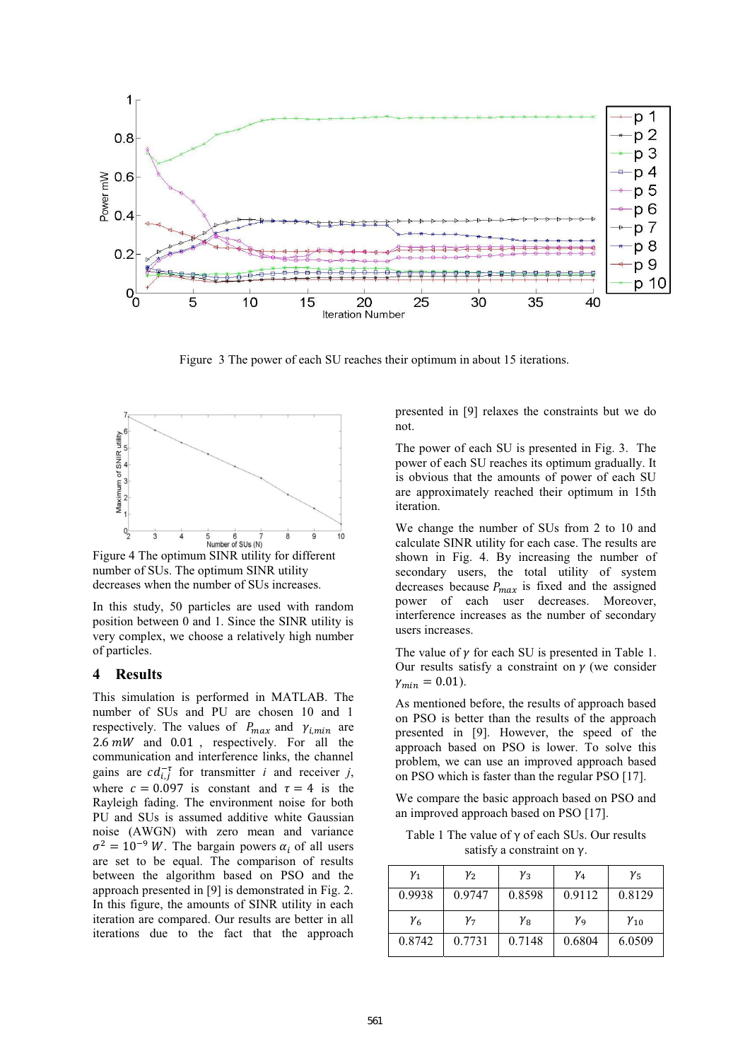

Figure 3 The power of each SU reaches their optimum in about 15 iterations.



Figure 4 The optimum SINR utility for different number of SUs. The optimum SINR utility decreases when the number of SUs increases.

In this study, 50 particles are used with random position between 0 and 1. Since the SINR utility is very complex, we choose a relatively high number of particles.

#### **4 Results**

This simulation is performed in MATLAB. The number of SUs and PU are chosen 10 and 1 respectively. The values of  $P_{max}$  and  $\gamma_{i,min}$  are 2.6  $mW$  and 0.01, respectively. For all the communication and interference links, the channel gains are  $cd_{i,j}^{-\tau}$  for transmitter *i* and receiver *j*, where  $c = 0.097$  is constant and  $\tau = 4$  is the Rayleigh fading. The environment noise for both PU and SUs is assumed additive white Gaussian noise (AWGN) with zero mean and variance  $\sigma^2 = 10^{-9} W$ . The bargain powers  $\alpha_i$  of all users are set to be equal. The comparison of results between the algorithm based on PSO and the approach presented in [9] is demonstrated in Fig. 2. In this figure, the amounts of SINR utility in each iteration are compared. Our results are better in all iterations due to the fact that the approach

presented in [9] relaxes the constraints but we do not.

The power of each SU is presented in Fig. 3. The power of each SU reaches its optimum gradually. It is obvious that the amounts of power of each SU are approximately reached their optimum in 15th iteration.

We change the number of SUs from 2 to 10 and calculate SINR utility for each case. The results are shown in Fig. 4. By increasing the number of secondary users, the total utility of system decreases because  $P_{max}$  is fixed and the assigned power of each user decreases. Moreover, interference increases as the number of secondary users increases.

The value of  $\gamma$  for each SU is presented in Table 1. Our results satisfy a constraint on  $\gamma$  (we consider  $\gamma_{min} = 0.01$ ).

As mentioned before, the results of approach based on PSO is better than the results of the approach presented in [9]. However, the speed of the approach based on PSO is lower. To solve this problem, we can use an improved approach based on PSO which is faster than the regular PSO [17].

We compare the basic approach based on PSO and an improved approach based on PSO [17].

Table 1 The value of γ of each SUs. Our results satisfy a constraint on γ.

| $\gamma_1$ | $\gamma_{2}$ | $\gamma_3$ | Y4           | $\gamma_{5}$  |
|------------|--------------|------------|--------------|---------------|
| 0.9938     | 0.9747       | 0.8598     | 0.9112       | 0.8129        |
| Y6         | $\gamma_{7}$ | Yв         | $\gamma_{9}$ | $\gamma_{10}$ |
| 0.8742     | 0.7731       | 0.7148     | 0.6804       | 6.0509        |